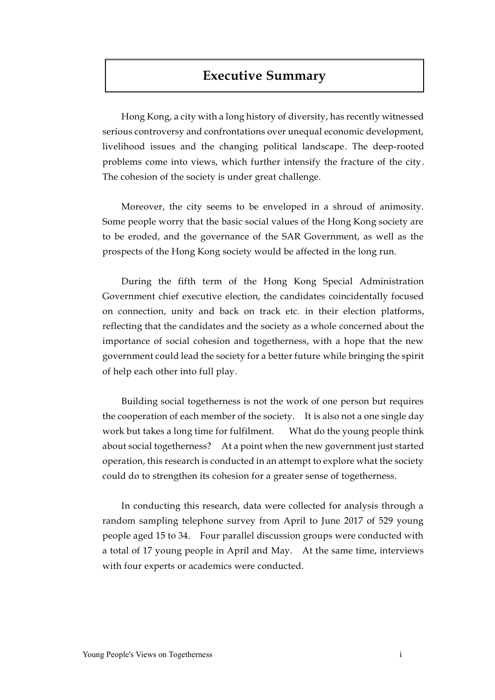# **Executive Summary**

Hong Kong, a city with a long history of diversity, has recently witnessed serious controversy and confrontations over unequal economic development, livelihood issues and the changing political landscape. The deep-rooted problems come into views, which further intensify the fracture of the city. The cohesion of the society is under great challenge.

Moreover, the city seems to be enveloped in a shroud of animosity. Some people worry that the basic social values of the Hong Kong society are to be eroded, and the governance of the SAR Government, as well as the prospects of the Hong Kong society would be affected in the long run.

During the fifth term of the Hong Kong Special Administration Government chief executive election, the candidates coincidentally focused on connection, unity and back on track etc. in their election platforms, reflecting that the candidates and the society as a whole concerned about the importance of social cohesion and togetherness, with a hope that the new government could lead the society for a better future while bringing the spirit of help each other into full play.

Building social togetherness is not the work of one person but requires the cooperation of each member of the society. It is also not a one single day work but takes a long time for fulfilment. What do the young people think about social togetherness? At a point when the new government just started operation, this research is conducted in an attempt to explore what the society could do to strengthen its cohesion for a greater sense of togetherness.

In conducting this research, data were collected for analysis through a random sampling telephone survey from April to June 2017 of 529 young people aged 15 to 34. Four parallel discussion groups were conducted with a total of 17 young people in April and May. At the same time, interviews with four experts or academics were conducted.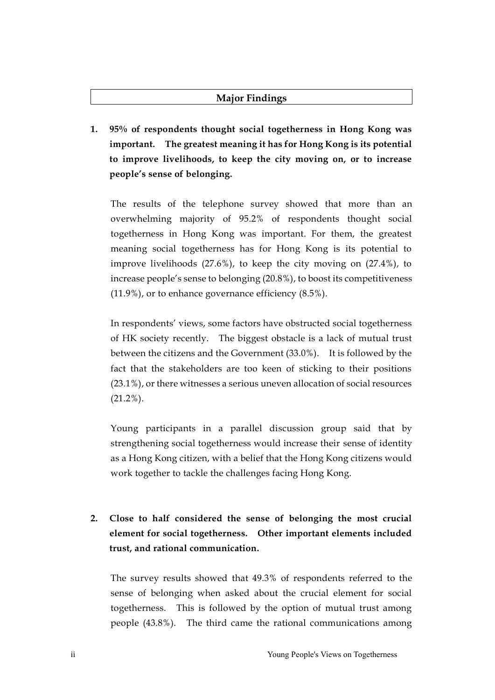### **Major Findings**

**1. 95% of respondents thought social togetherness in Hong Kong was important. The greatest meaning it has for Hong Kong is its potential to improve livelihoods, to keep the city moving on, or to increase people's sense of belonging.** 

The results of the telephone survey showed that more than an overwhelming majority of 95.2% of respondents thought social togetherness in Hong Kong was important. For them, the greatest meaning social togetherness has for Hong Kong is its potential to improve livelihoods (27.6%), to keep the city moving on (27.4%), to increase people's sense to belonging (20.8%), to boost its competitiveness (11.9%), or to enhance governance efficiency (8.5%).

In respondents' views, some factors have obstructed social togetherness of HK society recently. The biggest obstacle is a lack of mutual trust between the citizens and the Government (33.0%). It is followed by the fact that the stakeholders are too keen of sticking to their positions (23.1%), or there witnesses a serious uneven allocation of social resources  $(21.2\%)$ .

Young participants in a parallel discussion group said that by strengthening social togetherness would increase their sense of identity as a Hong Kong citizen, with a belief that the Hong Kong citizens would work together to tackle the challenges facing Hong Kong.

# **2. Close to half considered the sense of belonging the most crucial element for social togetherness. Other important elements included trust, and rational communication.**

The survey results showed that 49.3% of respondents referred to the sense of belonging when asked about the crucial element for social togetherness. This is followed by the option of mutual trust among people (43.8%). The third came the rational communications among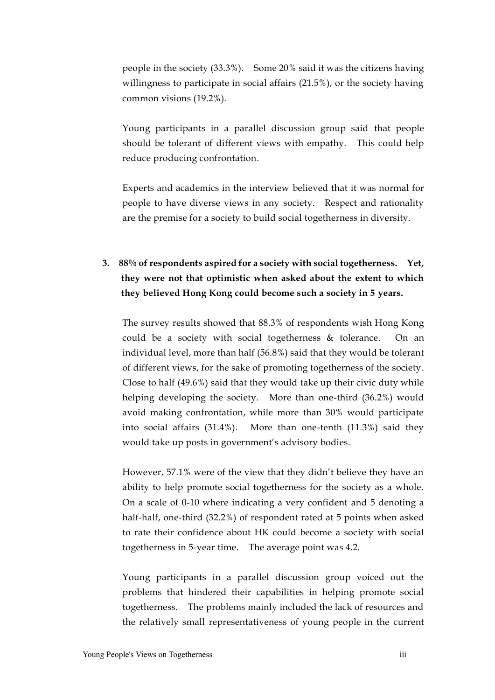people in the society (33.3%). Some 20% said it was the citizens having willingness to participate in social affairs (21.5%), or the society having common visions (19.2%).

Young participants in a parallel discussion group said that people should be tolerant of different views with empathy. This could help reduce producing confrontation.

Experts and academics in the interview believed that it was normal for people to have diverse views in any society. Respect and rationality are the premise for a society to build social togetherness in diversity.

## **3. 88% of respondents aspired for a society with social togetherness. Yet, they were not that optimistic when asked about the extent to which they believed Hong Kong could become such a society in 5 years.**

The survey results showed that 88.3% of respondents wish Hong Kong could be a society with social togetherness & tolerance. On an individual level, more than half (56.8%) said that they would be tolerant of different views, for the sake of promoting togetherness of the society. Close to half (49.6%) said that they would take up their civic duty while helping developing the society. More than one-third (36.2%) would avoid making confrontation, while more than 30% would participate into social affairs (31.4%). More than one-tenth (11.3%) said they would take up posts in government's advisory bodies.

However, 57.1% were of the view that they didn't believe they have an ability to help promote social togetherness for the society as a whole. On a scale of 0-10 where indicating a very confident and 5 denoting a half-half, one-third (32.2%) of respondent rated at 5 points when asked to rate their confidence about HK could become a society with social togetherness in 5-year time. The average point was 4.2.

Young participants in a parallel discussion group voiced out the problems that hindered their capabilities in helping promote social togetherness. The problems mainly included the lack of resources and the relatively small representativeness of young people in the current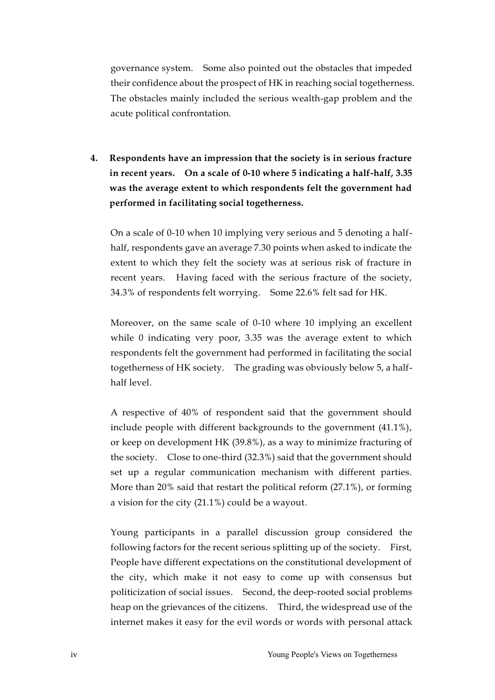governance system. Some also pointed out the obstacles that impeded their confidence about the prospect of HK in reaching social togetherness. The obstacles mainly included the serious wealth-gap problem and the acute political confrontation.

**4. Respondents have an impression that the society is in serious fracture in recent years. On a scale of 0-10 where 5 indicating a half-half, 3.35 was the average extent to which respondents felt the government had performed in facilitating social togetherness.** 

On a scale of 0-10 when 10 implying very serious and 5 denoting a halfhalf, respondents gave an average 7.30 points when asked to indicate the extent to which they felt the society was at serious risk of fracture in recent years. Having faced with the serious fracture of the society, 34.3% of respondents felt worrying. Some 22.6% felt sad for HK.

Moreover, on the same scale of 0-10 where 10 implying an excellent while 0 indicating very poor, 3.35 was the average extent to which respondents felt the government had performed in facilitating the social togetherness of HK society. The grading was obviously below 5, a halfhalf level.

A respective of 40% of respondent said that the government should include people with different backgrounds to the government (41.1%), or keep on development HK (39.8%), as a way to minimize fracturing of the society. Close to one-third (32.3%) said that the government should set up a regular communication mechanism with different parties. More than 20% said that restart the political reform (27.1%), or forming a vision for the city (21.1%) could be a wayout.

Young participants in a parallel discussion group considered the following factors for the recent serious splitting up of the society. First, People have different expectations on the constitutional development of the city, which make it not easy to come up with consensus but politicization of social issues. Second, the deep-rooted social problems heap on the grievances of the citizens. Third, the widespread use of the internet makes it easy for the evil words or words with personal attack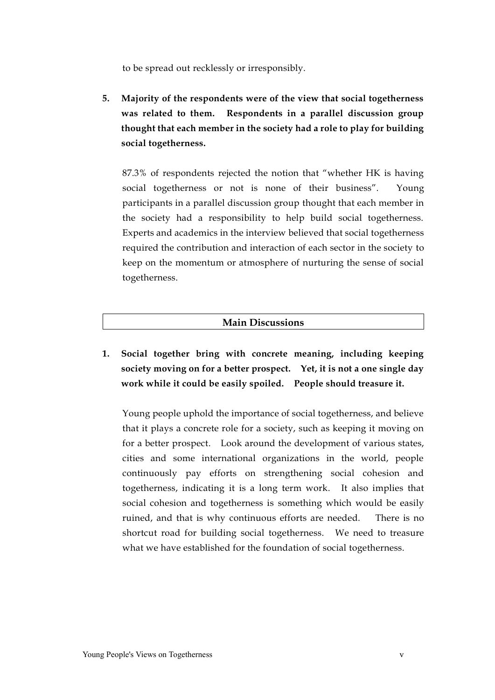to be spread out recklessly or irresponsibly.

**5. Majority of the respondents were of the view that social togetherness was related to them. Respondents in a parallel discussion group thought that each member in the society had a role to play for building social togetherness.** 

87.3% of respondents rejected the notion that "whether HK is having social togetherness or not is none of their business". Young participants in a parallel discussion group thought that each member in the society had a responsibility to help build social togetherness. Experts and academics in the interview believed that social togetherness required the contribution and interaction of each sector in the society to keep on the momentum or atmosphere of nurturing the sense of social togetherness.

### **Main Discussions**

**1. Social together bring with concrete meaning, including keeping society moving on for a better prospect. Yet, it is not a one single day work while it could be easily spoiled. People should treasure it.** 

Young people uphold the importance of social togetherness, and believe that it plays a concrete role for a society, such as keeping it moving on for a better prospect. Look around the development of various states, cities and some international organizations in the world, people continuously pay efforts on strengthening social cohesion and togetherness, indicating it is a long term work. It also implies that social cohesion and togetherness is something which would be easily ruined, and that is why continuous efforts are needed. There is no shortcut road for building social togetherness. We need to treasure what we have established for the foundation of social togetherness.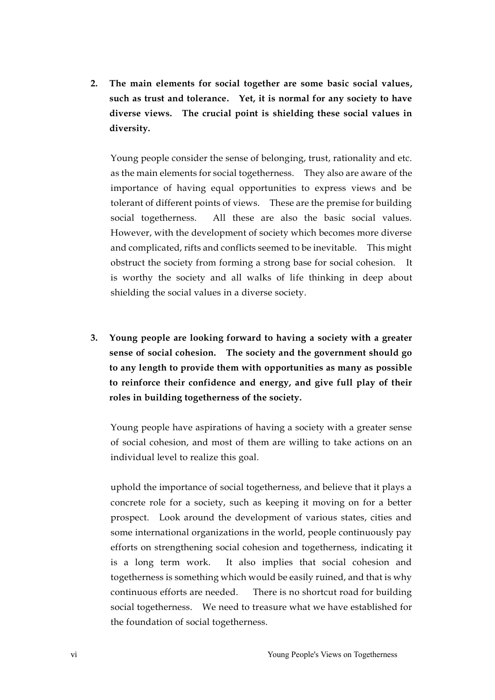**2. The main elements for social together are some basic social values, such as trust and tolerance. Yet, it is normal for any society to have diverse views. The crucial point is shielding these social values in diversity.** 

Young people consider the sense of belonging, trust, rationality and etc. as the main elements for social togetherness. They also are aware of the importance of having equal opportunities to express views and be tolerant of different points of views. These are the premise for building social togetherness. All these are also the basic social values. However, with the development of society which becomes more diverse and complicated, rifts and conflicts seemed to be inevitable. This might obstruct the society from forming a strong base for social cohesion. It is worthy the society and all walks of life thinking in deep about shielding the social values in a diverse society.

**3. Young people are looking forward to having a society with a greater sense of social cohesion. The society and the government should go to any length to provide them with opportunities as many as possible to reinforce their confidence and energy, and give full play of their roles in building togetherness of the society.** 

Young people have aspirations of having a society with a greater sense of social cohesion, and most of them are willing to take actions on an individual level to realize this goal.

uphold the importance of social togetherness, and believe that it plays a concrete role for a society, such as keeping it moving on for a better prospect. Look around the development of various states, cities and some international organizations in the world, people continuously pay efforts on strengthening social cohesion and togetherness, indicating it is a long term work. It also implies that social cohesion and togetherness is something which would be easily ruined, and that is why continuous efforts are needed. There is no shortcut road for building social togetherness. We need to treasure what we have established for the foundation of social togetherness.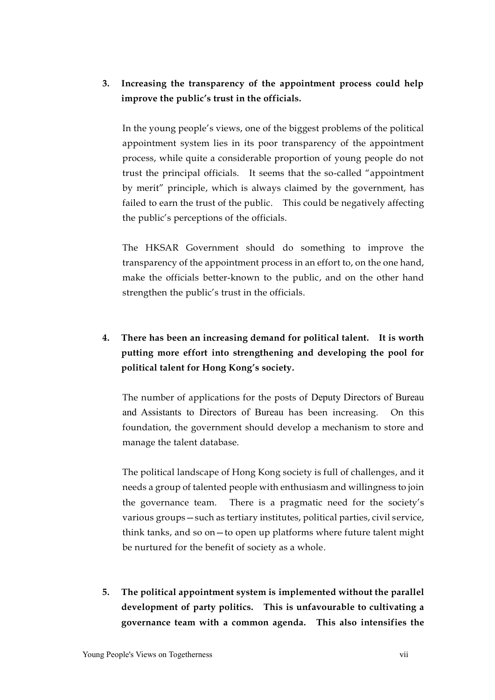### **3. Increasing the transparency of the appointment process could help improve the public's trust in the officials.**

In the young people's views, one of the biggest problems of the political appointment system lies in its poor transparency of the appointment process, while quite a considerable proportion of young people do not trust the principal officials. It seems that the so-called "appointment by merit" principle, which is always claimed by the government, has failed to earn the trust of the public. This could be negatively affecting the public's perceptions of the officials.

The HKSAR Government should do something to improve the transparency of the appointment process in an effort to, on the one hand, make the officials better-known to the public, and on the other hand strengthen the public's trust in the officials.

# **4. There has been an increasing demand for political talent. It is worth putting more effort into strengthening and developing the pool for political talent for Hong Kong's society.**

The number of applications for the posts of Deputy Directors of Bureau and Assistants to Directors of Bureau has been increasing. On this foundation, the government should develop a mechanism to store and manage the talent database.

The political landscape of Hong Kong society is full of challenges, and it needs a group of talented people with enthusiasm and willingness to join the governance team. There is a pragmatic need for the society's various groups—such as tertiary institutes, political parties, civil service, think tanks, and so on—to open up platforms where future talent might be nurtured for the benefit of society as a whole.

**5. The political appointment system is implemented without the parallel development of party politics. This is unfavourable to cultivating a governance team with a common agenda. This also intensifies the**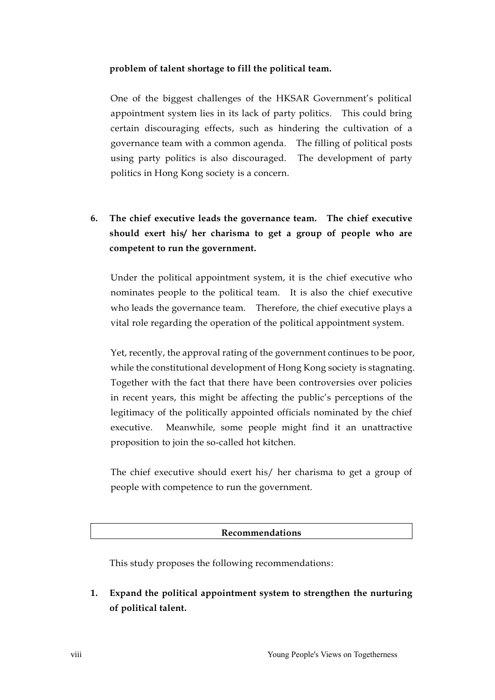#### **problem of talent shortage to fill the political team.**

One of the biggest challenges of the HKSAR Government's political appointment system lies in its lack of party politics. This could bring certain discouraging effects, such as hindering the cultivation of a governance team with a common agenda. The filling of political posts using party politics is also discouraged. The development of party politics in Hong Kong society is a concern.

**6. The chief executive leads the governance team. The chief executive should exert his/ her charisma to get a group of people who are competent to run the government.** 

Under the political appointment system, it is the chief executive who nominates people to the political team. It is also the chief executive who leads the governance team. Therefore, the chief executive plays a vital role regarding the operation of the political appointment system.

Yet, recently, the approval rating of the government continues to be poor, while the constitutional development of Hong Kong society is stagnating. Together with the fact that there have been controversies over policies in recent years, this might be affecting the public's perceptions of the legitimacy of the politically appointed officials nominated by the chief executive. Meanwhile, some people might find it an unattractive proposition to join the so-called hot kitchen.

The chief executive should exert his/ her charisma to get a group of people with competence to run the government.

**Recommendations**

This study proposes the following recommendations:

**1. Expand the political appointment system to strengthen the nurturing of political talent.**